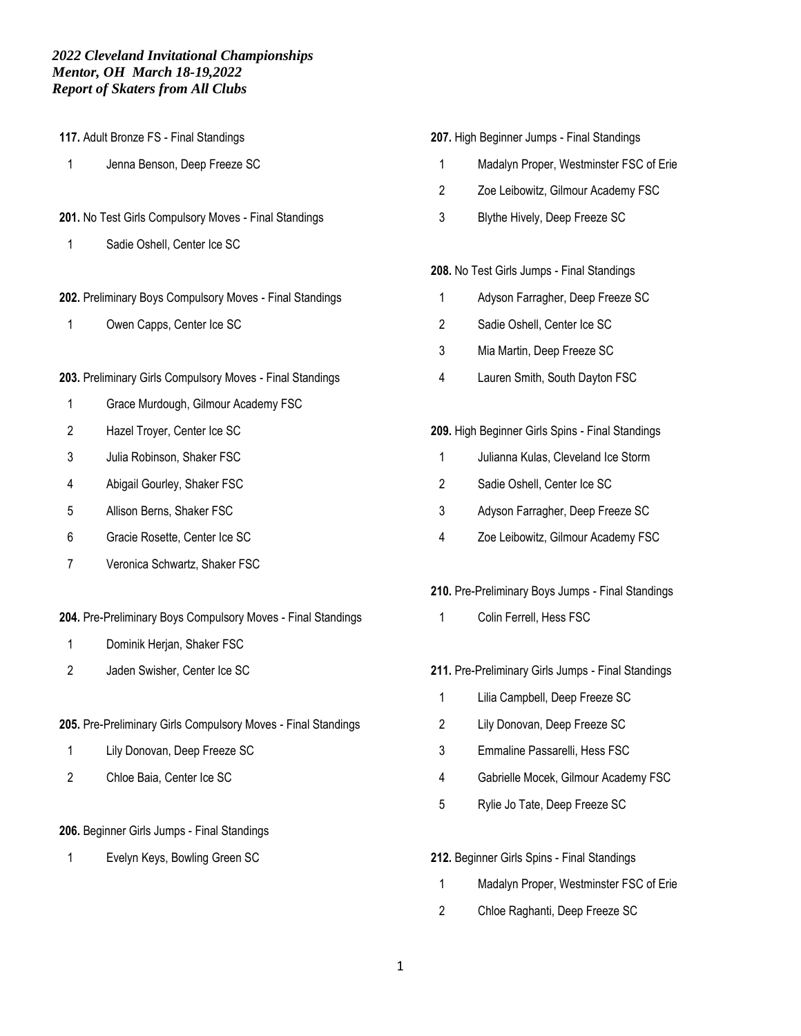**117.** Adult Bronze FS - Final Standings Jenna Benson, Deep Freeze SC **201.** No Test Girls Compulsory Moves - Final Standings Sadie Oshell, Center Ice SC

## **202.** Preliminary Boys Compulsory Moves - Final Standings

Owen Capps, Center Ice SC

## **203.** Preliminary Girls Compulsory Moves - Final Standings

- Grace Murdough, Gilmour Academy FSC
- Hazel Troyer, Center Ice SC
- Julia Robinson, Shaker FSC
- Abigail Gourley, Shaker FSC
- Allison Berns, Shaker FSC
- Gracie Rosette, Center Ice SC
- Veronica Schwartz, Shaker FSC

#### **204.** Pre-Preliminary Boys Compulsory Moves - Final Standings

- Dominik Herjan, Shaker FSC
- Jaden Swisher, Center Ice SC

# **205.** Pre-Preliminary Girls Compulsory Moves - Final Standings

- Lily Donovan, Deep Freeze SC
- Chloe Baia, Center Ice SC

#### **206.** Beginner Girls Jumps - Final Standings

Evelyn Keys, Bowling Green SC

#### **207.** High Beginner Jumps - Final Standings

- Madalyn Proper, Westminster FSC of Erie
- Zoe Leibowitz, Gilmour Academy FSC
- Blythe Hively, Deep Freeze SC

## **208.** No Test Girls Jumps - Final Standings

- Adyson Farragher, Deep Freeze SC
- Sadie Oshell, Center Ice SC
- Mia Martin, Deep Freeze SC
- Lauren Smith, South Dayton FSC

## **209.** High Beginner Girls Spins - Final Standings

- Julianna Kulas, Cleveland Ice Storm
- Sadie Oshell, Center Ice SC
- Adyson Farragher, Deep Freeze SC
- Zoe Leibowitz, Gilmour Academy FSC

#### **210.** Pre-Preliminary Boys Jumps - Final Standings

Colin Ferrell, Hess FSC

#### **211.** Pre-Preliminary Girls Jumps - Final Standings

- Lilia Campbell, Deep Freeze SC
- Lily Donovan, Deep Freeze SC
- Emmaline Passarelli, Hess FSC
- Gabrielle Mocek, Gilmour Academy FSC
- Rylie Jo Tate, Deep Freeze SC

#### **212.** Beginner Girls Spins - Final Standings

- Madalyn Proper, Westminster FSC of Erie
- Chloe Raghanti, Deep Freeze SC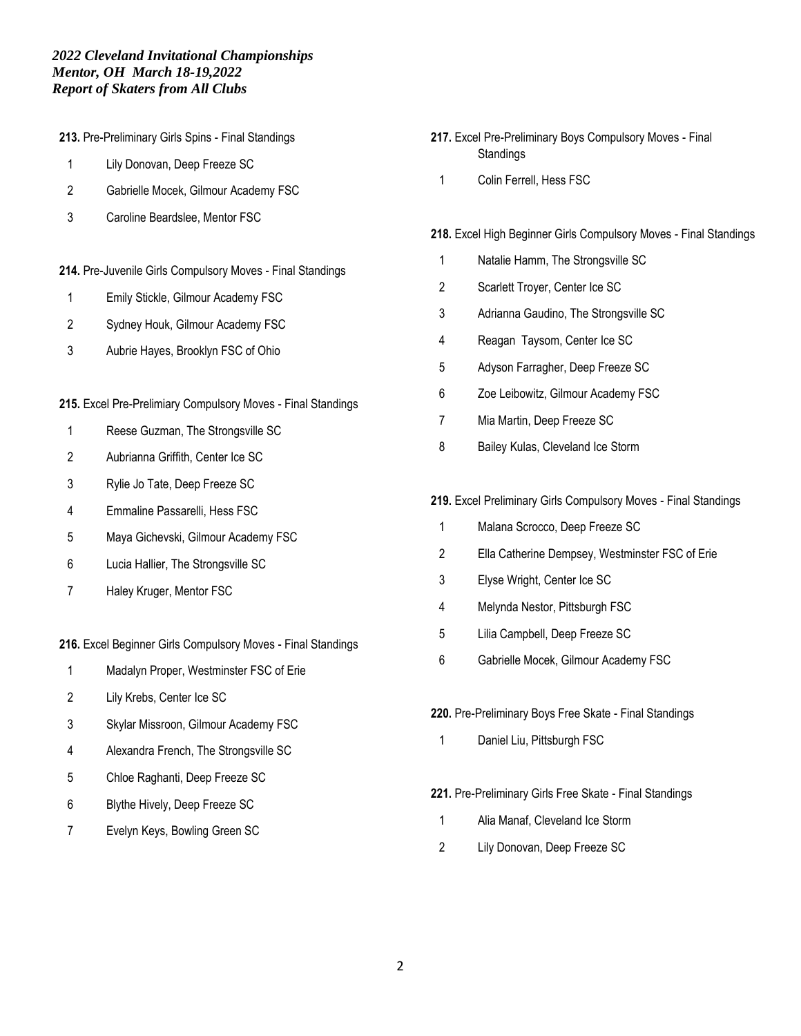**213.** Pre-Preliminary Girls Spins - Final Standings Lily Donovan, Deep Freeze SC Gabrielle Mocek, Gilmour Academy FSC Caroline Beardslee, Mentor FSC **214.** Pre-Juvenile Girls Compulsory Moves - Final Standings Emily Stickle, Gilmour Academy FSC Sydney Houk, Gilmour Academy FSC Aubrie Hayes, Brooklyn FSC of Ohio **215.** Excel Pre-Prelimiary Compulsory Moves - Final Standings Reese Guzman, The Strongsville SC Aubrianna Griffith, Center Ice SC Rylie Jo Tate, Deep Freeze SC Emmaline Passarelli, Hess FSC Maya Gichevski, Gilmour Academy FSC Lucia Hallier, The Strongsville SC **Standings**  Colin Ferrell, Hess FSC Scarlett Troyer, Center Ice SC Reagan Taysom, Center Ice SC Mia Martin, Deep Freeze SC 8 Bailey Kulas, Cleveland Ice Storm Malana Scrocco, Deep Freeze SC

Haley Kruger, Mentor FSC

**216.** Excel Beginner Girls Compulsory Moves - Final Standings

- Madalyn Proper, Westminster FSC of Erie
- Lily Krebs, Center Ice SC
- Skylar Missroon, Gilmour Academy FSC
- Alexandra French, The Strongsville SC
- Chloe Raghanti, Deep Freeze SC
- Blythe Hively, Deep Freeze SC
- Evelyn Keys, Bowling Green SC

**217.** Excel Pre-Preliminary Boys Compulsory Moves - Final

### **218.** Excel High Beginner Girls Compulsory Moves - Final Standings

- Natalie Hamm, The Strongsville SC
- Adrianna Gaudino, The Strongsville SC
- Adyson Farragher, Deep Freeze SC
- Zoe Leibowitz, Gilmour Academy FSC

## **219.** Excel Preliminary Girls Compulsory Moves - Final Standings

- 
- Ella Catherine Dempsey, Westminster FSC of Erie
- Elyse Wright, Center Ice SC
- Melynda Nestor, Pittsburgh FSC
- Lilia Campbell, Deep Freeze SC
- Gabrielle Mocek, Gilmour Academy FSC

#### **220.** Pre-Preliminary Boys Free Skate - Final Standings

Daniel Liu, Pittsburgh FSC

#### **221.** Pre-Preliminary Girls Free Skate - Final Standings

- Alia Manaf, Cleveland Ice Storm
- Lily Donovan, Deep Freeze SC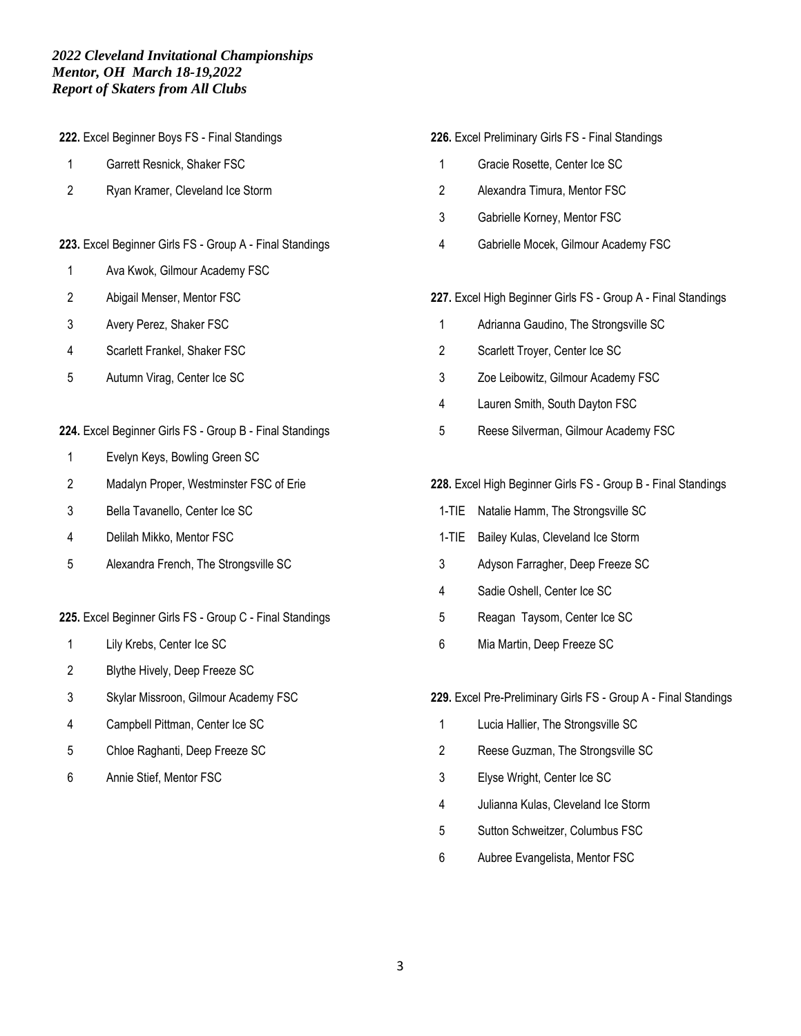**222.** Excel Beginner Boys FS - Final Standings

- Garrett Resnick, Shaker FSC
- Ryan Kramer, Cleveland Ice Storm

#### **223.** Excel Beginner Girls FS - Group A - Final Standings

- Ava Kwok, Gilmour Academy FSC
- Abigail Menser, Mentor FSC
- Avery Perez, Shaker FSC
- Scarlett Frankel, Shaker FSC
- Autumn Virag, Center Ice SC

## **224.** Excel Beginner Girls FS - Group B - Final Standings

- Evelyn Keys, Bowling Green SC
- Madalyn Proper, Westminster FSC of Erie
- Bella Tavanello, Center Ice SC
- Delilah Mikko, Mentor FSC
- Alexandra French, The Strongsville SC

**225.** Excel Beginner Girls FS - Group C - Final Standings

- Lily Krebs, Center Ice SC
- Blythe Hively, Deep Freeze SC
- Skylar Missroon, Gilmour Academy FSC
- Campbell Pittman, Center Ice SC
- Chloe Raghanti, Deep Freeze SC
- Annie Stief, Mentor FSC

### **226.** Excel Preliminary Girls FS - Final Standings

- Gracie Rosette, Center Ice SC
- Alexandra Timura, Mentor FSC
- Gabrielle Korney, Mentor FSC
- Gabrielle Mocek, Gilmour Academy FSC

## **227.** Excel High Beginner Girls FS - Group A - Final Standings

- Adrianna Gaudino, The Strongsville SC
- Scarlett Troyer, Center Ice SC
- Zoe Leibowitz, Gilmour Academy FSC
- Lauren Smith, South Dayton FSC
- Reese Silverman, Gilmour Academy FSC

## **228.** Excel High Beginner Girls FS - Group B - Final Standings

- 1-TIE Natalie Hamm, The Strongsville SC
- 1-TIE Bailey Kulas, Cleveland Ice Storm
- Adyson Farragher, Deep Freeze SC
- Sadie Oshell, Center Ice SC
- Reagan Taysom, Center Ice SC
- Mia Martin, Deep Freeze SC

#### **229.** Excel Pre-Preliminary Girls FS - Group A - Final Standings

- Lucia Hallier, The Strongsville SC
- Reese Guzman, The Strongsville SC
- Elyse Wright, Center Ice SC
- Julianna Kulas, Cleveland Ice Storm
- Sutton Schweitzer, Columbus FSC
- Aubree Evangelista, Mentor FSC